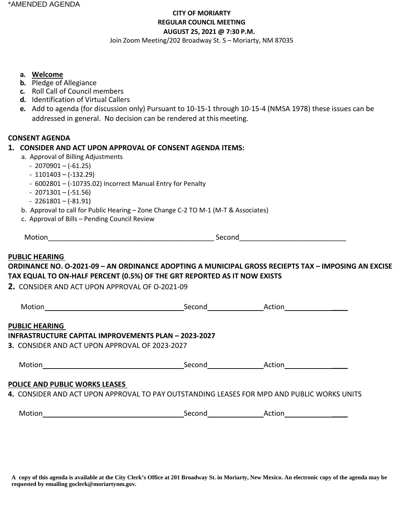# **CITY OF MORIARTY REGULAR COUNCIL MEETING AUGUST 25, 2021 @ 7:30 P.M.**

Join Zoom Meeting/202 Broadway St. S – Moriarty, NM 87035

#### **a. Welcome**

- **b.** Pledge of Allegiance
- **c.** Roll Call of Council members
- **d.** Identification of Virtual Callers
- **e.** Add to agenda (for discussion only) Pursuant to 10-15-1 through 10-15-4 (NMSA 1978) these issues can be addressed in general. No decision can be rendered at thismeeting.

#### **CONSENT AGENDA**

#### **1. CONSIDER AND ACT UPON APPROVAL OF CONSENT AGENDA ITEMS:**

- a. Approval of Billing Adjustments
	- 2070901 (-61.25)
	- $-1101403 (-132.29)$
	- 6002801 (-10735.02) Incorrect Manual Entry for Penalty
	- $-2071301 (-51.56)$
	- $-2261801 (-81.91)$
- b. Approval to call for Public Hearing Zone Change C-2 TO M-1 (M-T & Associates)
- c. Approval of Bills Pending Council Review

|--|

#### **PUBLIC HEARING**

# **ORDINANCE NO. O-2021-09 – AN ORDINANCE ADOPTING A MUNICIPAL GROSS RECIEPTS TAX – IMPOSING AN EXCISE TAX EQUAL TO ON-HALF PERCENT (0.5%) OF THE GRT REPORTED AS IT NOW EXISTS**

**2.** CONSIDER AND ACT UPON APPROVAL OF O-2021-09

| Motion                                               | Second | Action |  |
|------------------------------------------------------|--------|--------|--|
| PUBLIC H <u>EARING</u>                               |        |        |  |
| INFRASTRUCTURE CAPITAL IMPROVEMENTS PLAN - 2023-2027 |        |        |  |
| 3. CONSIDER AND ACT UPON APPROVAL OF 2023-2027       |        |        |  |
|                                                      |        |        |  |
| Motion                                               | Second | Action |  |

#### **POLICE AND PUBLIC WORKS LEASES**

#### **4.** CONSIDER AND ACT UPON APPROVAL TO PAY OUTSTANDING LEASES FOR MPD AND PUBLIC WORKS UNITS

|  | Motion | Second | Action |  |
|--|--------|--------|--------|--|
|--|--------|--------|--------|--|

**A copy of this agenda is available at the City Clerk's Office at 201 Broadway St. in Moriarty, New Mexico. An electronic copy of the agenda may be requested by emailing goclerk@moriartynm.gov.**